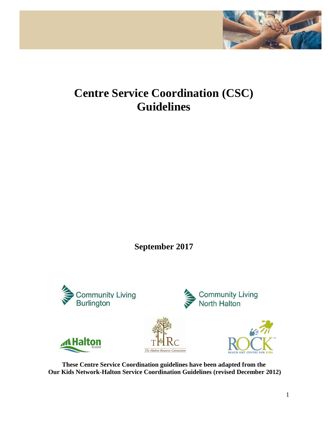

# **Centre Service Coordination (CSC) Guidelines**

**September 2017**



**These Centre Service Coordination guidelines have been adapted from the Our Kids Network-Halton Service Coordination Guidelines (revised December 2012)**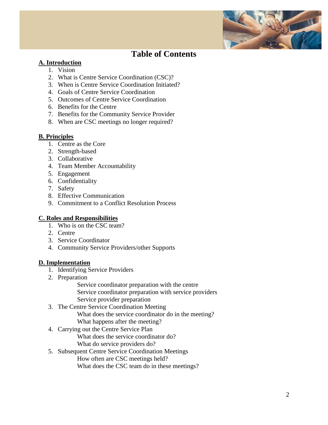

# **Table of Contents**

#### **A. Introduction**

- 1. Vision
- 2. What is Centre Service Coordination (CSC)?
- 3. When is Centre Service Coordination Initiated?
- 4. Goals of Centre Service Coordination
- 5. Outcomes of Centre Service Coordination
- 6. Benefits for the Centre
- 7. Benefits for the Community Service Provider
- 8. When are CSC meetings no longer required?

#### **B. Principles**

- 1. Centre as the Core
- 2. Strength-based
- 3. Collaborative
- 4. Team Member Accountability
- 5. Engagement
- 6. Confidentiality
- 7. Safety
- 8. Effective Communication
- 9. Commitment to a Conflict Resolution Process

#### **C. Roles and Responsibilities**

- 1. Who is on the CSC team?
- 2. Centre
- 3. Service Coordinator
- 4. Community Service Providers/other Supports

#### **D. Implementation**

- 1. Identifying Service Providers
- 2. Preparation

Service coordinator preparation with the centre Service coordinator preparation with service providers Service provider preparation

- 3. The Centre Service Coordination Meeting What does the service coordinator do in the meeting? What happens after the meeting?
- 4. Carrying out the Centre Service Plan What does the service coordinator do? What do service providers do?
- 5. Subsequent Centre Service Coordination Meetings

How often are CSC meetings held?

What does the CSC team do in these meetings?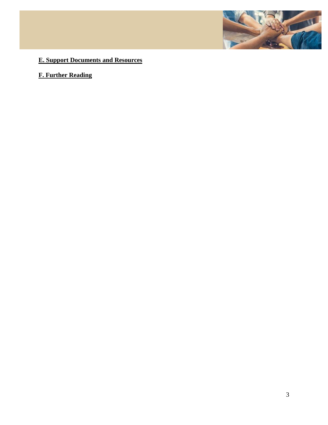

# **E. Support Documents and Resources**

# **F. Further Reading**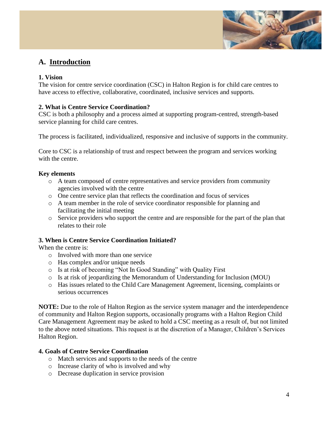

# **A. Introduction**

#### **1. Vision**

The vision for centre service coordination (CSC) in Halton Region is for child care centres to have access to effective, collaborative, coordinated, inclusive services and supports.

#### **2. What is Centre Service Coordination?**

CSC is both a philosophy and a process aimed at supporting program-centred, strength-based service planning for child care centres.

The process is facilitated, individualized, responsive and inclusive of supports in the community.

Core to CSC is a relationship of trust and respect between the program and services working with the centre.

#### **Key elements**

- o A team composed of centre representatives and service providers from community agencies involved with the centre
- o One centre service plan that reflects the coordination and focus of services
- o A team member in the role of service coordinator responsible for planning and facilitating the initial meeting
- o Service providers who support the centre and are responsible for the part of the plan that relates to their role

#### **3. When is Centre Service Coordination Initiated?**

When the centre is:

- o Involved with more than one service
- o Has complex and/or unique needs
- o Is at risk of becoming "Not In Good Standing" with Quality First
- o Is at risk of jeopardizing the Memorandum of Understanding for Inclusion (MOU)
- o Has issues related to the Child Care Management Agreement, licensing, complaints or serious occurrences

**NOTE:** Due to the role of Halton Region as the service system manager and the interdependence of community and Halton Region supports, occasionally programs with a Halton Region Child Care Management Agreement may be asked to hold a CSC meeting as a result of, but not limited to the above noted situations. This request is at the discretion of a Manager, Children's Services Halton Region.

#### **4. Goals of Centre Service Coordination**

- o Match services and supports to the needs of the centre
- o Increase clarity of who is involved and why
- o Decrease duplication in service provision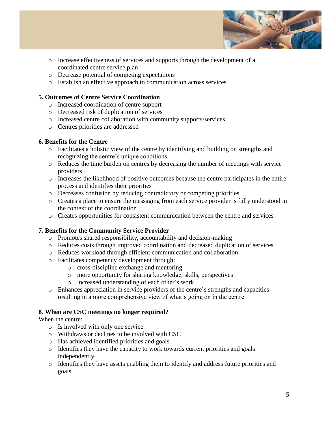

- o Increase effectiveness of services and supports through the development of a coordinated centre service plan
- o Decrease potential of competing expectations
- o Establish an effective approach to communication across services

#### **5. Outcomes of Centre Service Coordination**

- o Increased coordination of centre support
- o Decreased risk of duplication of services
- o Increased centre collaboration with community supports/services
- o Centres priorities are addressed

#### **6. Benefits for the Centre**

- o Facilitates a holistic view of the centre by identifying and building on strengths and recognizing the centre's unique conditions
- o Reduces the time burden on centres by decreasing the number of meetings with service providers
- o Increases the likelihood of positive outcomes because the centre participates in the entire process and identifies their priorities
- o Decreases confusion by reducing contradictory or competing priorities
- o Creates a place to ensure the messaging from each service provider is fully understood in the context of the coordination
- o Creates opportunities for consistent communication between the centre and services

#### **7. Benefits for the Community Service Provider**

- o Promotes shared responsibility, accountability and decision-making
- o Reduces costs through improved coordination and decreased duplication of services
- o Reduces workload through efficient communication and collaboration
- o Facilitates competency development through:
	- o cross-discipline exchange and mentoring
	- o more opportunity for sharing knowledge, skills, perspectives
	- o increased understanding of each other's work
- o Enhances appreciation in service providers of the centre's strengths and capacities resulting in a more comprehensive view of what's going on in the centre

#### **8. When are CSC meetings no longer required?**

When the centre:

- o Is involved with only one service
- o Withdraws or declines to be involved with CSC
- o Has achieved identified priorities and goals
- o Identifies they have the capacity to work towards current priorities and goals independently
- o Identifies they have assets enabling them to identify and address future priorities and goals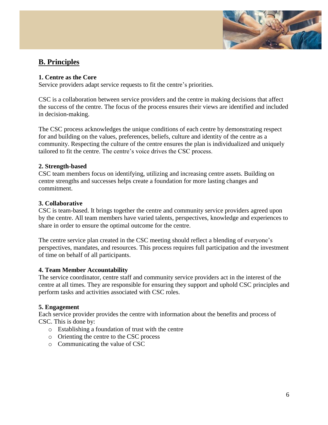

# **B. Principles**

#### **1. Centre as the Core**

Service providers adapt service requests to fit the centre's priorities.

CSC is a collaboration between service providers and the centre in making decisions that affect the success of the centre. The focus of the process ensures their views are identified and included in decision-making.

The CSC process acknowledges the unique conditions of each centre by demonstrating respect for and building on the values, preferences, beliefs, culture and identity of the centre as a community. Respecting the culture of the centre ensures the plan is individualized and uniquely tailored to fit the centre. The centre's voice drives the CSC process.

#### **2. Strength-based**

CSC team members focus on identifying, utilizing and increasing centre assets. Building on centre strengths and successes helps create a foundation for more lasting changes and commitment.

#### **3. Collaborative**

CSC is team-based. It brings together the centre and community service providers agreed upon by the centre. All team members have varied talents, perspectives, knowledge and experiences to share in order to ensure the optimal outcome for the centre.

The centre service plan created in the CSC meeting should reflect a blending of everyone's perspectives, mandates, and resources. This process requires full participation and the investment of time on behalf of all participants.

#### **4. Team Member Accountability**

The service coordinator, centre staff and community service providers act in the interest of the centre at all times. They are responsible for ensuring they support and uphold CSC principles and perform tasks and activities associated with CSC roles.

#### **5. Engagement**

Each service provider provides the centre with information about the benefits and process of CSC. This is done by:

- o Establishing a foundation of trust with the centre
- o Orienting the centre to the CSC process
- o Communicating the value of CSC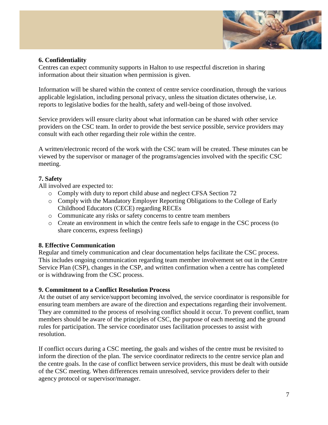

#### **6. Confidentiality**

Centres can expect community supports in Halton to use respectful discretion in sharing information about their situation when permission is given.

Information will be shared within the context of centre service coordination, through the various applicable legislation, including personal privacy, unless the situation dictates otherwise, i.e. reports to legislative bodies for the health, safety and well-being of those involved.

Service providers will ensure clarity about what information can be shared with other service providers on the CSC team. In order to provide the best service possible, service providers may consult with each other regarding their role within the centre.

A written/electronic record of the work with the CSC team will be created. These minutes can be viewed by the supervisor or manager of the programs/agencies involved with the specific CSC meeting.

#### **7. Safety**

All involved are expected to:

- o Comply with duty to report child abuse and neglect CFSA Section 72
- o Comply with the Mandatory Employer Reporting Obligations to the College of Early Childhood Educators (CECE) regarding RECEs
- o Communicate any risks or safety concerns to centre team members
- o Create an environment in which the centre feels safe to engage in the CSC process (to share concerns, express feelings)

#### **8. Effective Communication**

Regular and timely communication and clear documentation helps facilitate the CSC process. This includes ongoing communication regarding team member involvement set out in the Centre Service Plan (CSP), changes in the CSP, and written confirmation when a centre has completed or is withdrawing from the CSC process.

#### **9. Commitment to a Conflict Resolution Process**

At the outset of any service/support becoming involved, the service coordinator is responsible for ensuring team members are aware of the direction and expectations regarding their involvement. They are committed to the process of resolving conflict should it occur. To prevent conflict, team members should be aware of the principles of CSC, the purpose of each meeting and the ground rules for participation. The service coordinator uses facilitation processes to assist with resolution.

If conflict occurs during a CSC meeting, the goals and wishes of the centre must be revisited to inform the direction of the plan. The service coordinator redirects to the centre service plan and the centre goals. In the case of conflict between service providers, this must be dealt with outside of the CSC meeting. When differences remain unresolved, service providers defer to their agency protocol or supervisor/manager.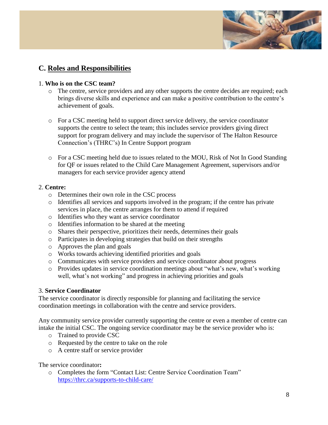

# **C. Roles and Responsibilities**

#### 1. **Who is on the CSC team?**

- o The centre, service providers and any other supports the centre decides are required; each brings diverse skills and experience and can make a positive contribution to the centre's achievement of goals.
- o For a CSC meeting held to support direct service delivery, the service coordinator supports the centre to select the team; this includes service providers giving direct support for program delivery and may include the supervisor of The Halton Resource Connection's (THRC's) In Centre Support program
- o For a CSC meeting held due to issues related to the MOU, Risk of Not In Good Standing for QF or issues related to the Child Care Management Agreement, supervisors and/or managers for each service provider agency attend

#### 2. **Centre:**

- o Determines their own role in the CSC process
- o Identifies all services and supports involved in the program; if the centre has private services in place, the centre arranges for them to attend if required
- o Identifies who they want as service coordinator
- o Identifies information to be shared at the meeting
- o Shares their perspective, prioritizes their needs, determines their goals
- o Participates in developing strategies that build on their strengths
- o Approves the plan and goals
- o Works towards achieving identified priorities and goals
- o Communicates with service providers and service coordinator about progress
- o Provides updates in service coordination meetings about "what's new, what's working well, what's not working" and progress in achieving priorities and goals

#### 3. **Service Coordinator**

The service coordinator is directly responsible for planning and facilitating the service coordination meetings in collaboration with the centre and service providers.

Any community service provider currently supporting the centre or even a member of centre can intake the initial CSC. The ongoing service coordinator may be the service provider who is:

- o Trained to provide CSC
- o Requested by the centre to take on the role
- o A centre staff or service provider

The service coordinator**:**

o Completes the form "Contact List: Centre Service Coordination Team" <https://thrc.ca/supports-to-child-care/>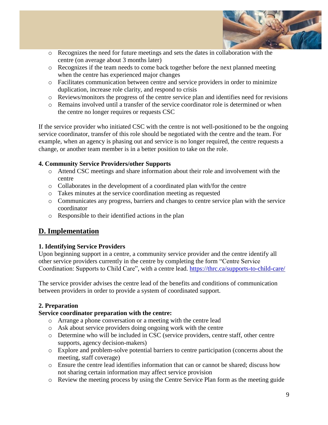

- o Recognizes the need for future meetings and sets the dates in collaboration with the centre (on average about 3 months later)
- o Recognizes if the team needs to come back together before the next planned meeting when the centre has experienced major changes
- o Facilitates communication between centre and service providers in order to minimize duplication, increase role clarity, and respond to crisis
- o Reviews/monitors the progress of the centre service plan and identifies need for revisions
- o Remains involved until a transfer of the service coordinator role is determined or when the centre no longer requires or requests CSC

If the service provider who initiated CSC with the centre is not well-positioned to be the ongoing service coordinator, transfer of this role should be negotiated with the centre and the team. For example, when an agency is phasing out and service is no longer required, the centre requests a change, or another team member is in a better position to take on the role.

#### **4. Community Service Providers/other Supports**

- o Attend CSC meetings and share information about their role and involvement with the centre
- o Collaborates in the development of a coordinated plan with/for the centre
- o Takes minutes at the service coordination meeting as requested
- o Communicates any progress, barriers and changes to centre service plan with the service coordinator
- o Responsible to their identified actions in the plan

# **D. Implementation**

#### **1. Identifying Service Providers**

Upon beginning support in a centre, a community service provider and the centre identify all other service providers currently in the centre by completing the form "Centre Service Coordination: Supports to Child Care", with a centre lead.<https://thrc.ca/supports-to-child-care/>

The service provider advises the centre lead of the benefits and conditions of communication between providers in order to provide a system of coordinated support.

#### **2. Preparation**

#### **Service coordinator preparation with the centre:**

- o Arrange a phone conversation or a meeting with the centre lead
- o Ask about service providers doing ongoing work with the centre
- o Determine who will be included in CSC (service providers, centre staff, other centre supports, agency decision-makers)
- o Explore and problem-solve potential barriers to centre participation (concerns about the meeting, staff coverage)
- o Ensure the centre lead identifies information that can or cannot be shared; discuss how not sharing certain information may affect service provision
- o Review the meeting process by using the Centre Service Plan form as the meeting guide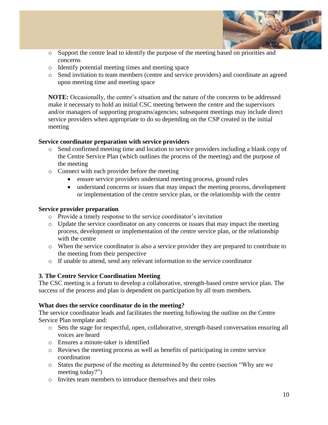

- o Support the centre lead to identify the purpose of the meeting based on priorities and concerns
- o Identify potential meeting times and meeting space
- o Send invitation to team members (centre and service providers) and coordinate an agreed upon meeting time and meeting space

**NOTE:** Occasionally, the centre's situation and the nature of the concerns to be addressed make it necessary to hold an initial CSC meeting between the centre and the supervisors and/or managers of supporting programs/agencies; subsequent meetings may include direct service providers when appropriate to do so depending on the CSP created in the initial meeting

#### **Service coordinator preparation with service providers**

- o Send confirmed meeting time and location to service providers including a blank copy of the Centre Service Plan (which outlines the process of the meeting) and the purpose of the meeting
- o Connect with each provider before the meeting
	- ensure service providers understand meeting process, ground rules
	- understand concerns or issues that may impact the meeting process, development or implementation of the centre service plan, or the relationship with the centre

#### **Service provider preparation**

- o Provide a timely response to the service coordinator's invitation
- o Update the service coordinator on any concerns or issues that may impact the meeting process, development or implementation of the centre service plan, or the relationship with the centre
- o When the service coordinator is also a service provider they are prepared to contribute to the meeting from their perspective
- o If unable to attend, send any relevant information to the service coordinator

#### **3. The Centre Service Coordination Meeting**

The CSC meeting is a forum to develop a collaborative, strength-based centre service plan. The success of the process and plan is dependent on participation by all team members.

#### **What does the service coordinator do in the meeting?**

The service coordinator leads and facilitates the meeting following the outline on the Centre Service Plan template and:

- o Sets the stage for respectful, open, collaborative, strength-based conversation ensuring all voices are heard
- o Ensures a minute-taker is identified
- o Reviews the meeting process as well as benefits of participating in centre service coordination
- o States the purpose of the meeting as determined by the centre (section "Why are we meeting today?")
- o Invites team members to introduce themselves and their roles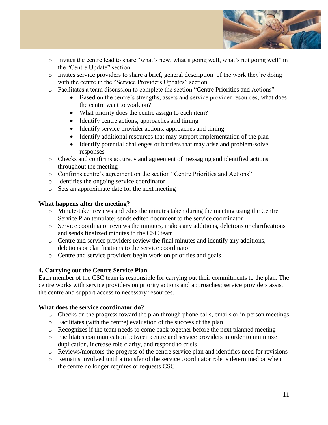

- o Invites the centre lead to share "what's new, what's going well, what's not going well" in the "Centre Update" section
- o Invites service providers to share a brief, general description of the work they're doing with the centre in the "Service Providers Updates" section
- o Facilitates a team discussion to complete the section "Centre Priorities and Actions"
	- Based on the centre's strengths, assets and service provider resources, what does the centre want to work on?
	- What priority does the centre assign to each item?
	- Identify centre actions, approaches and timing
	- Identify service provider actions, approaches and timing
	- Identify additional resources that may support implementation of the plan
	- Identify potential challenges or barriers that may arise and problem-solve responses
- o Checks and confirms accuracy and agreement of messaging and identified actions throughout the meeting
- o Confirms centre's agreement on the section "Centre Priorities and Actions"
- o Identifies the ongoing service coordinator
- o Sets an approximate date for the next meeting

#### **What happens after the meeting?**

- o Minute-taker reviews and edits the minutes taken during the meeting using the Centre Service Plan template; sends edited document to the service coordinator
- o Service coordinator reviews the minutes, makes any additions, deletions or clarifications and sends finalized minutes to the CSC team
- o Centre and service providers review the final minutes and identify any additions, deletions or clarifications to the service coordinator
- o Centre and service providers begin work on priorities and goals

#### **4. Carrying out the Centre Service Plan**

Each member of the CSC team is responsible for carrying out their commitments to the plan. The centre works with service providers on priority actions and approaches; service providers assist the centre and support access to necessary resources.

#### **What does the service coordinator do?**

- o Checks on the progress toward the plan through phone calls, emails or in-person meetings
- o Facilitates (with the centre) evaluation of the success of the plan
- o Recognizes if the team needs to come back together before the next planned meeting
- o Facilitates communication between centre and service providers in order to minimize duplication, increase role clarity, and respond to crisis
- o Reviews/monitors the progress of the centre service plan and identifies need for revisions
- o Remains involved until a transfer of the service coordinator role is determined or when the centre no longer requires or requests CSC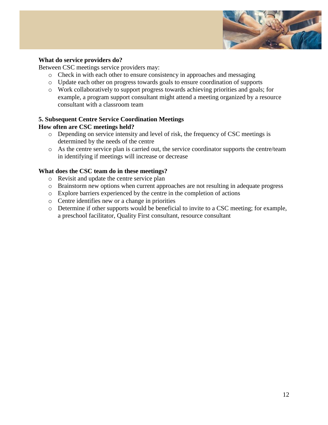

#### **What do service providers do?**

Between CSC meetings service providers may:

- o Check in with each other to ensure consistency in approaches and messaging
- o Update each other on progress towards goals to ensure coordination of supports
- o Work collaboratively to support progress towards achieving priorities and goals; for example, a program support consultant might attend a meeting organized by a resource consultant with a classroom team

#### **5. Subsequent Centre Service Coordination Meetings**

#### **How often are CSC meetings held?**

- o Depending on service intensity and level of risk, the frequency of CSC meetings is determined by the needs of the centre
- o As the centre service plan is carried out, the service coordinator supports the centre/team in identifying if meetings will increase or decrease

#### **What does the CSC team do in these meetings?**

- o Revisit and update the centre service plan
- o Brainstorm new options when current approaches are not resulting in adequate progress
- o Explore barriers experienced by the centre in the completion of actions
- o Centre identifies new or a change in priorities
- o Determine if other supports would be beneficial to invite to a CSC meeting; for example, a preschool facilitator, Quality First consultant, resource consultant